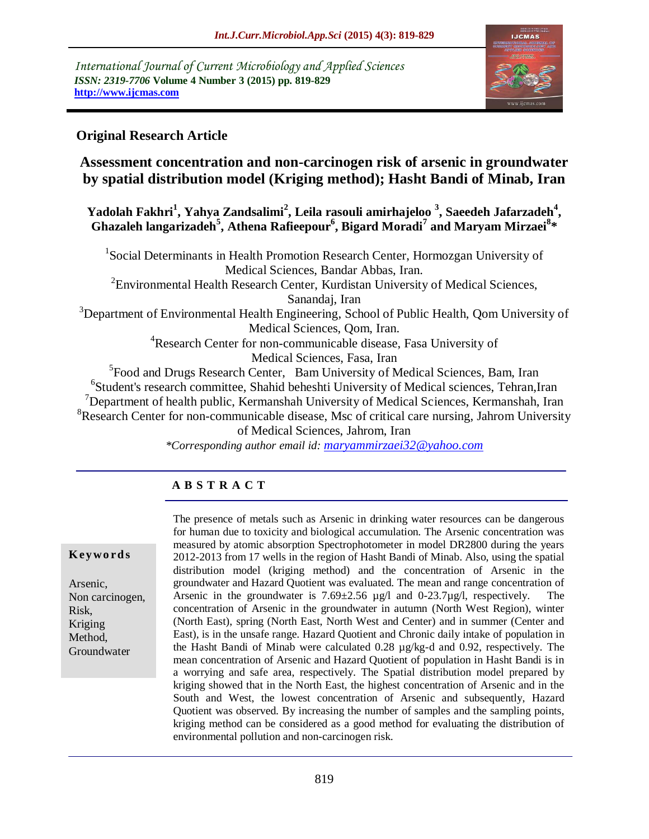*International Journal of Current Microbiology and Applied Sciences ISSN: 2319-7706* **Volume 4 Number 3 (2015) pp. 819-829 http://www.ijcmas.com** 



# **Original Research Article**

# **Assessment concentration and non-carcinogen risk of arsenic in groundwater by spatial distribution model (Kriging method); Hasht Bandi of Minab, Iran**

**Yadolah Fakhri<sup>1</sup> , Yahya Zandsalimi<sup>2</sup> , Leila rasouli amirhajeloo <sup>3</sup> , Saeedeh Jafarzadeh<sup>4</sup> , Ghazaleh langarizadeh<sup>5</sup> , Athena Rafieepour<sup>6</sup> , Bigard Moradi<sup>7</sup> and Maryam Mirzaei<sup>8</sup> \***

<sup>1</sup>Social Determinants in Health Promotion Research Center, Hormozgan University of Medical Sciences, Bandar Abbas, Iran.  ${}^{2}$ Environmental Health Research Center, Kurdistan University of Medical Sciences, Sanandaj, Iran <sup>3</sup>Department of Environmental Health Engineering, School of Public Health, Qom University of Medical Sciences, Qom, Iran. <sup>4</sup>Research Center for non-communicable disease, Fasa University of Medical Sciences, Fasa, Iran <sup>5</sup> Food and Drugs Research Center, Bam University of Medical Sciences, Bam, Iran <sup>6</sup>Student's research committee, Shahid beheshti University of Medical sciences, Tehran, Iran  $\nabla^7$ Department of health public, Kermanshah University of Medical Sciences, Kermanshah, Iran  ${}^{8}$ Research Center for non-communicable disease, Msc of critical care nursing, Jahrom University of Medical Sciences, Jahrom, Iran

*\*Corresponding author email id: [maryammirzaei32@yahoo.com](mailto:maryammirzaei32@yahoo.com)*

# **A B S T R A C T**

#### **K ey w o rd s**

Arsenic, Non carcinogen, Risk, Kriging Method, Groundwater

The presence of metals such as Arsenic in drinking water resources can be dangerous for human due to toxicity and biological accumulation. The Arsenic concentration was measured by atomic absorption Spectrophotometer in model DR2800 during the years 2012-2013 from 17 wells in the region of Hasht Bandi of Minab. Also, using the spatial distribution model (kriging method) and the concentration of Arsenic in the groundwater and Hazard Quotient was evaluated. The mean and range concentration of Arsenic in the groundwater is  $7.69 \pm 2.56$  µg/l and 0-23.7µg/l, respectively. concentration of Arsenic in the groundwater in autumn (North West Region), winter (North East), spring (North East, North West and Center) and in summer (Center and East), is in the unsafe range. Hazard Quotient and Chronic daily intake of population in the Hasht Bandi of Minab were calculated 0.28 µg/kg-d and 0.92, respectively. The mean concentration of Arsenic and Hazard Quotient of population in Hasht Bandi is in a worrying and safe area, respectively. The Spatial distribution model prepared by kriging showed that in the North East, the highest concentration of Arsenic and in the South and West, the lowest concentration of Arsenic and subsequently, Hazard Quotient was observed. By increasing the number of samples and the sampling points, kriging method can be considered as a good method for evaluating the distribution of environmental pollution and non-carcinogen risk.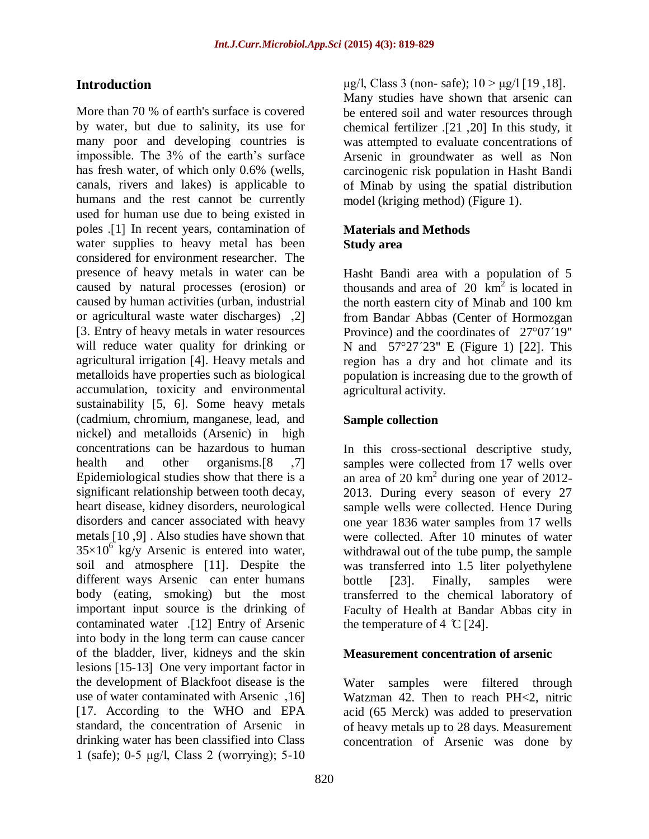### **Introduction**

More than 70 % of earth's surface is covered by water, but due to salinity, its use for many poor and developing countries is impossible. The 3% of the earth's surface has fresh water, of which only 0.6% (wells, canals, rivers and lakes) is applicable to humans and the rest cannot be currently used for human use due to being existed in poles .[1] In recent years, contamination of water supplies to heavy metal has been considered for environment researcher. The presence of heavy metals in water can be caused by natural processes (erosion) or caused by human activities (urban, industrial or agricultural waste water discharges) ,2[ ]3. Entry of heavy metals in water resources will reduce water quality for drinking or agricultural irrigation [4]. Heavy metals and metalloids have properties such as biological accumulation, toxicity and environmental sustainability [5, 6]. Some heavy metals (cadmium, chromium, manganese, lead, and nickel) and metalloids (Arsenic) in high concentrations can be hazardous to human health and other organisms.<sup>[8</sup>, 7] Epidemiological studies show that there is a significant relationship between tooth decay, heart disease, kidney disorders, neurological disorders and cancer associated with heavy metals [10,9]. Also studies have shown that  $35 \times 10^6$  kg/y Arsenic is entered into water, soil and atmosphere [11]. Despite the different ways Arsenic can enter humans body (eating, smoking) but the most important input source is the drinking of contaminated water .[12] Entry of Arsenic into body in the long term can cause cancer of the bladder, liver, kidneys and the skin lesions [15-13] One very important factor in the development of Blackfoot disease is the use of water contaminated with Arsenic ,16[ [17. According to the WHO and EPA standard, the concentration of Arsenic in drinking water has been classified into Class 1 (safe); 0-5 μg/l, Class 2 (worrying); 5-10

μg/l, Class 3 (non- safe);  $10 > μg/1$  [19, 18]. Many studies have shown that arsenic can be entered soil and water resources through chemical fertilizer  $[21, 20]$  In this study, it was attempted to evaluate concentrations of Arsenic in groundwater as well as Non carcinogenic risk population in Hasht Bandi of Minab by using the spatial distribution model (kriging method) (Figure 1).

### **Materials and Methods Study area**

Hasht Bandi area with a population of 5 thousands and area of  $20 \text{ km}^2$  is located in the north eastern city of Minab and 100 km from Bandar Abbas (Center of Hormozgan Province) and the coordinates of 27°07<sup>'</sup>19" N and  $57^{\circ}27'23''$  E (Figure 1) [22]. This region has a dry and hot climate and its population is increasing due to the growth of agricultural activity.

### **Sample collection**

In this cross-sectional descriptive study, samples were collected from 17 wells over an area of 20 km<sup>2</sup> during one year of 2012-2013. During every season of every 27 sample wells were collected. Hence During one year 1836 water samples from 17 wells were collected. After 10 minutes of water withdrawal out of the tube pump, the sample was transferred into 1.5 liter polyethylene bottle [23]. Finally, samples were transferred to the chemical laboratory of Faculty of Health at Bandar Abbas city in the temperature of 4  $\mathbb{C}$  [24].

#### **Measurement concentration of arsenic**

Water samples were filtered through Watzman 42. Then to reach PH<2, nitric acid (65 Merck) was added to preservation of heavy metals up to 28 days. Measurement concentration of Arsenic was done by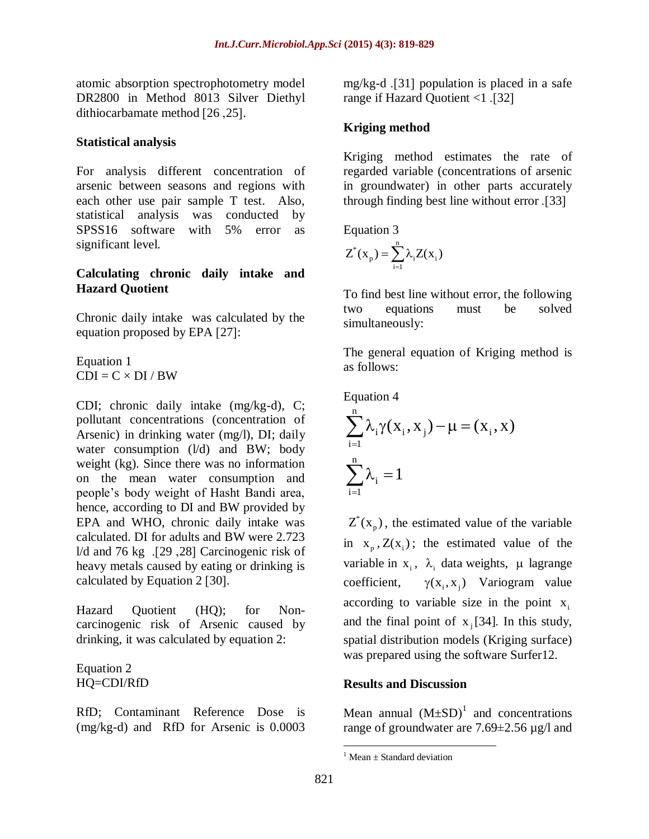atomic absorption spectrophotometry model DR2800 in Method 8013 Silver Diethyl dithiocarbamate method  $[26, 25]$ .

#### **Statistical analysis**

For analysis different concentration of arsenic between seasons and regions with each other use pair sample T test. Also, statistical analysis was conducted by SPSS16 software with 5% error as significant level.

### **Calculating chronic daily intake and Hazard Quotient**

Chronic daily intake was calculated by the equation proposed by EPA [27]:

Equation 1  $CDI = C \times DI / BW$ 

CDI; chronic daily intake (mg/kg-d), C; pollutant concentrations (concentration of Arsenic) in drinking water (mg/l), DI; daily water consumption  $(l/d)$  and BW; body weight (kg). Since there was no information on the mean water consumption and people's body weight of Hasht Bandi area, hence, according to DI and BW provided by EPA and WHO, chronic daily intake was calculated. DI for adults and BW were 2.723 l/d and 76 kg  $[29, 28]$  Carcinogenic risk of heavy metals caused by eating or drinking is calculated by Equation 2  $[30]$ .

Hazard Quotient (HQ); for Noncarcinogenic risk of Arsenic caused by drinking, it was calculated by equation 2:

Equation 2 HQ=CDI/RfD

RfD; Contaminant Reference Dose is (mg/kg-d) and RfD for Arsenic is 0.0003

mg/kg-d  $[31]$  population is placed in a safe range if Hazard Quotient <1.[32]

## **Kriging method**

Kriging method estimates the rate of regarded variable (concentrations of arsenic in groundwater) in other parts accurately through finding best line without error .[33]

Equation 3

$$
Z^*(x_p) = \sum_{i=1}^n \lambda_i Z(x_i)
$$

To find best line without error, the following two equations must be solved simultaneously:

The general equation of Kriging method is as follows:

Equation 4  
\n
$$
\sum_{i=1}^{n} \lambda_i \gamma(x_i, x_j) - \mu = (x_i, x)
$$
\n
$$
\sum_{i=1}^{n} \lambda_i = 1
$$

 $Z^*(x_p)$ , the estimated value of the variable in  $x_p$ ,  $Z(x_i)$ ; the estimated value of the variable in  $x_i$ ,  $\lambda_i$  data weights,  $\mu$  lagrange coefficient,  $\gamma(x_i, x_j)$  Variogram value according to variable size in the point  $x_i$ and the final point of  $x_j$  [34]. In this study, spatial distribution models (Kriging surface) was prepared using the software Surfer12.

#### **Results and Discussion**

Mean annual  $(M \pm SD)^1$  and concentrations range of groundwater are 7.69±2.56 µg/l and

 $\overline{a}$ 

 $1$  Mean + Standard deviation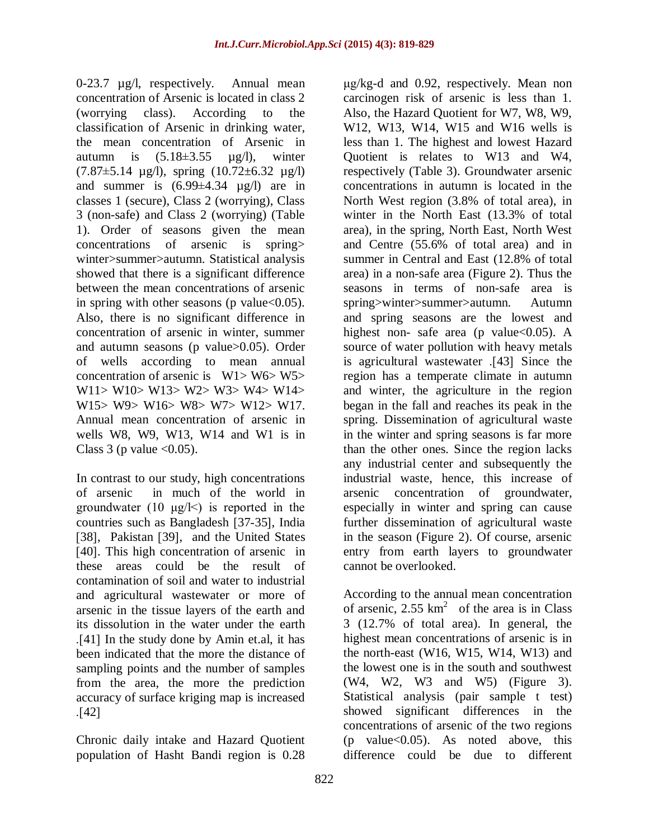0-23.7 µg/l, respectively. Annual mean concentration of Arsenic is located in class 2 (worrying class). According to the classification of Arsenic in drinking water, the mean concentration of Arsenic in autumn is  $(5.18\pm3.55 \text{ µg/l})$ , winter  $(7.87\pm5.14 \text{ µg/l})$ , spring  $(10.72\pm6.32 \text{ µg/l})$ and summer is  $(6.99\pm4.34 \text{ }\mu\text{g/l})$  are in classes 1 (secure), Class 2 (worrying), Class 3 (non-safe) and Class 2 (worrying) (Table 1). Order of seasons given the mean concentrations of arsenic is spring> winter>summer>autumn. Statistical analysis showed that there is a significant difference between the mean concentrations of arsenic in spring with other seasons (p value $<0.05$ ). Also, there is no significant difference in concentration of arsenic in winter, summer and autumn seasons (p value>0.05). Order of wells according to mean annual concentration of arsenic is W1> W6> W5> W11> W10> W13> W2> W3> W4> W14> W15> W9> W16> W8> W7> W12> W17. Annual mean concentration of arsenic in wells W8, W9, W13, W14 and W1 is in Class 3 (p value  $\langle 0.05 \rangle$ .

In contrast to our study, high concentrations of arsenic in much of the world in groundwater (10  $\mu$ g/ $\le$ ) is reported in the countries such as Bangladesh [37-35], India [38], Pakistan [39], and the United States [40]. This high concentration of arsenic in these areas could be the result of contamination of soil and water to industrial and agricultural wastewater or more of arsenic in the tissue layers of the earth and its dissolution in the water under the earth .]41[ In the study done by Amin et.al, it has been indicated that the more the distance of sampling points and the number of samples from the area, the more the prediction accuracy of surface kriging map is increased  $\lfloor 42 \rfloor$ 

Chronic daily intake and Hazard Quotient population of Hasht Bandi region is 0.28 μg/kg-d and 0.92, respectively. Mean non carcinogen risk of arsenic is less than 1. Also, the Hazard Quotient for W7, W8, W9, W12, W13, W14, W15 and W16 wells is less than 1. The highest and lowest Hazard Quotient is relates to W13 and W4, respectively (Table 3). Groundwater arsenic concentrations in autumn is located in the North West region (3.8% of total area), in winter in the North East (13.3% of total area), in the spring, North East, North West and Centre (55.6% of total area) and in summer in Central and East (12.8% of total area) in a non-safe area (Figure 2). Thus the seasons in terms of non-safe area is spring>winter>summer>autumn. Autumn and spring seasons are the lowest and highest non- safe area (p value  $< 0.05$ ). A source of water pollution with heavy metals is agricultural wastewater [43] Since the region has a temperate climate in autumn and winter, the agriculture in the region began in the fall and reaches its peak in the spring. Dissemination of agricultural waste in the winter and spring seasons is far more than the other ones. Since the region lacks any industrial center and subsequently the industrial waste, hence, this increase of arsenic concentration of groundwater, especially in winter and spring can cause further dissemination of agricultural waste in the season (Figure 2). Of course, arsenic entry from earth layers to groundwater cannot be overlooked.

According to the annual mean concentration of arsenic,  $2.55 \text{ km}^2$  of the area is in Class 3 (12.7% of total area). In general, the highest mean concentrations of arsenic is in the north-east (W16, W15, W14, W13) and the lowest one is in the south and southwest (W4, W2, W3 and W5) (Figure 3). Statistical analysis (pair sample t test) showed significant differences in the concentrations of arsenic of the two regions  $(p \text{ value} < 0.05)$ . As noted above, this difference could be due to different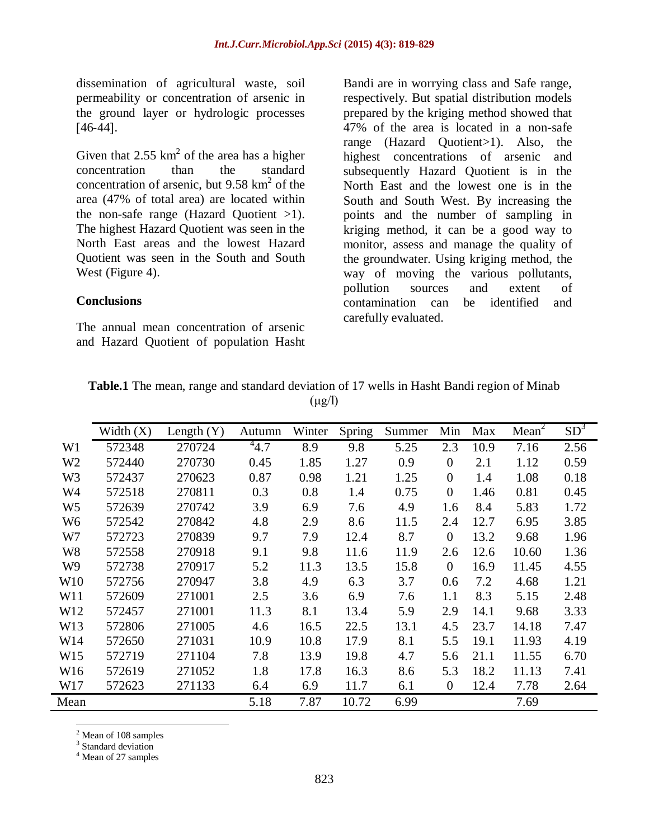dissemination of agricultural waste, soil permeability or concentration of arsenic in the ground layer or hydrologic processes  $[46-44]$ .

Given that 2.55  $km^2$  of the area has a higher concentration than the standard concentration of arsenic, but  $9.58 \text{ km}^2$  of the area (47% of total area) are located within the non-safe range (Hazard Quotient >1). The highest Hazard Quotient was seen in the North East areas and the lowest Hazard Quotient was seen in the South and South West (Figure 4).

#### **Conclusions**

The annual mean concentration of arsenic and Hazard Quotient of population Hasht Bandi are in worrying class and Safe range, respectively. But spatial distribution models prepared by the kriging method showed that 47% of the area is located in a non-safe range (Hazard Quotient>1). Also, the highest concentrations of arsenic and subsequently Hazard Quotient is in the North East and the lowest one is in the South and South West. By increasing the points and the number of sampling in kriging method, it can be a good way to monitor, assess and manage the quality of the groundwater. Using kriging method, the way of moving the various pollutants, pollution sources and extent of contamination can be identified and carefully evaluated.

|                 | Width $(X)$ | Length $(Y)$ | Autumn    | Winter | Spring | Summer | Min              | Max  | Mean <sup>2</sup> | SD <sup>3</sup> |
|-----------------|-------------|--------------|-----------|--------|--------|--------|------------------|------|-------------------|-----------------|
| W <sub>1</sub>  | 572348      | 270724       | $^{4}4.7$ | 8.9    | 9.8    | 5.25   | 2.3              | 10.9 | 7.16              | 2.56            |
| W <sub>2</sub>  | 572440      | 270730       | 0.45      | 1.85   | 1.27   | 0.9    | $\boldsymbol{0}$ | 2.1  | 1.12              | 0.59            |
| W <sub>3</sub>  | 572437      | 270623       | 0.87      | 0.98   | 1.21   | 1.25   | $\boldsymbol{0}$ | 1.4  | 1.08              | 0.18            |
| W4              | 572518      | 270811       | 0.3       | 0.8    | 1.4    | 0.75   | $\boldsymbol{0}$ | 1.46 | 0.81              | 0.45            |
| W <sub>5</sub>  | 572639      | 270742       | 3.9       | 6.9    | 7.6    | 4.9    | 1.6              | 8.4  | 5.83              | 1.72            |
| W <sub>6</sub>  | 572542      | 270842       | 4.8       | 2.9    | 8.6    | 11.5   | 2.4              | 12.7 | 6.95              | 3.85            |
| W7              | 572723      | 270839       | 9.7       | 7.9    | 12.4   | 8.7    | $\overline{0}$   | 13.2 | 9.68              | 1.96            |
| W <sub>8</sub>  | 572558      | 270918       | 9.1       | 9.8    | 11.6   | 11.9   | 2.6              | 12.6 | 10.60             | 1.36            |
| W <sub>9</sub>  | 572738      | 270917       | 5.2       | 11.3   | 13.5   | 15.8   | $\overline{0}$   | 16.9 | 11.45             | 4.55            |
| W <sub>10</sub> | 572756      | 270947       | 3.8       | 4.9    | 6.3    | 3.7    | 0.6              | 7.2  | 4.68              | 1.21            |
| W11             | 572609      | 271001       | 2.5       | 3.6    | 6.9    | 7.6    | 1.1              | 8.3  | 5.15              | 2.48            |
| W12             | 572457      | 271001       | 11.3      | 8.1    | 13.4   | 5.9    | 2.9              | 14.1 | 9.68              | 3.33            |
| W13             | 572806      | 271005       | 4.6       | 16.5   | 22.5   | 13.1   | 4.5              | 23.7 | 14.18             | 7.47            |
| W14             | 572650      | 271031       | 10.9      | 10.8   | 17.9   | 8.1    | 5.5              | 19.1 | 11.93             | 4.19            |
| W15             | 572719      | 271104       | 7.8       | 13.9   | 19.8   | 4.7    | 5.6              | 21.1 | 11.55             | 6.70            |
| W16             | 572619      | 271052       | 1.8       | 17.8   | 16.3   | 8.6    | 5.3              | 18.2 | 11.13             | 7.41            |
| W17             | 572623      | 271133       | 6.4       | 6.9    | 11.7   | 6.1    | $\boldsymbol{0}$ | 12.4 | 7.78              | 2.64            |
| Mean            |             |              | 5.18      | 7.87   | 10.72  | 6.99   |                  |      | 7.69              |                 |

|  |  | <b>Table.1</b> The mean, range and standard deviation of 17 wells in Hasht Bandi region of Minab |  |  |  |
|--|--|--------------------------------------------------------------------------------------------------|--|--|--|
|  |  | $(\mu g/l)$                                                                                      |  |  |  |

 $\overline{a}$ <sup>2</sup> Mean of 108 samples

<sup>3</sup> Standard deviation

<sup>4</sup> Mean of 27 samples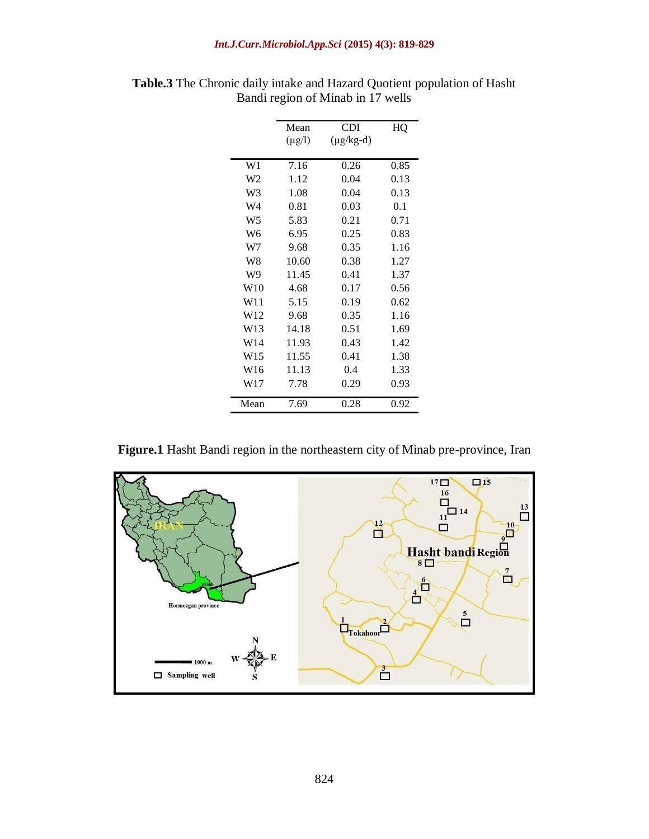#### *Int.J.Curr.Microbiol.App.Sci* **(2015) 4(3): 819-829**

|                 | Mean        | CDI            | HQ   |
|-----------------|-------------|----------------|------|
|                 | $(\mu g/l)$ | $(\mu g/kg-d)$ |      |
|                 |             |                |      |
| W1              | 7.16        | 0.26           | 0.85 |
| W <sub>2</sub>  | 1.12        | 0.04           | 0.13 |
| W <sub>3</sub>  | 1.08        | 0.04           | 0.13 |
| W4              | 0.81        | 0.03           | 0.1  |
| W <sub>5</sub>  | 5.83        | 0.21           | 0.71 |
| W <sub>6</sub>  | 6.95        | 0.25           | 0.83 |
| W7              | 9.68        | 0.35           | 1.16 |
| W8              | 10.60       | 0.38           | 1.27 |
| W9              | 11.45       | 0.41           | 1.37 |
| W10             | 4.68        | 0.17           | 0.56 |
| W11             | 5.15        | 0.19           | 0.62 |
| W <sub>12</sub> | 9.68        | 0.35           | 1.16 |
| W <sub>13</sub> | 14.18       | 0.51           | 1.69 |
| W <sub>14</sub> | 11.93       | 0.43           | 1.42 |
| W <sub>15</sub> | 11.55       | 0.41           | 1.38 |
| W <sub>16</sub> | 11.13       | 0.4            | 1.33 |
| W17             | 7.78        | 0.29           | 0.93 |
| Mean            | 7.69        | 0.28           | 0.92 |

| <b>Table.3</b> The Chronic daily intake and Hazard Quotient population of Hasht |  |
|---------------------------------------------------------------------------------|--|
| Bandi region of Minab in 17 wells                                               |  |

**Figure.1** Hasht Bandi region in the northeastern city of Minab pre-province, Iran

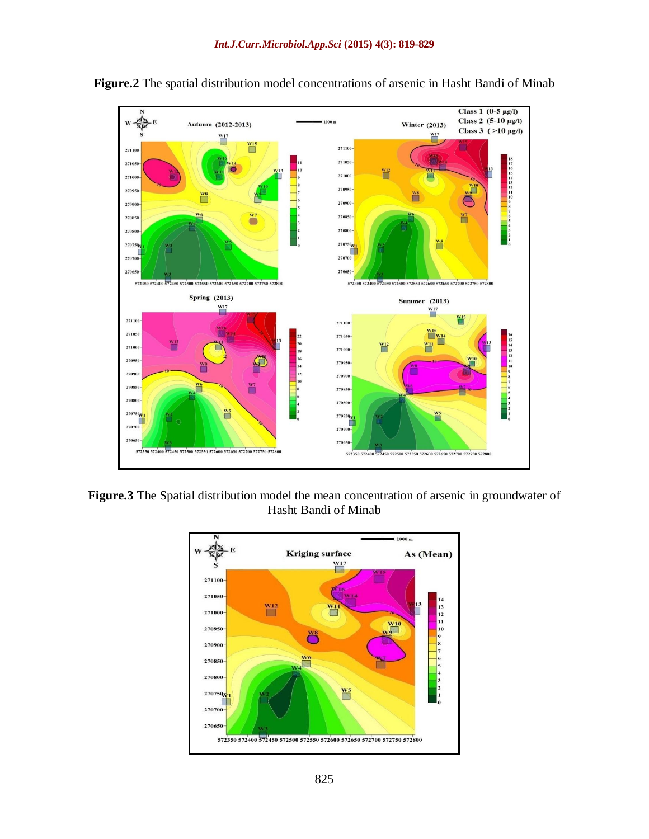



**Figure.3** The Spatial distribution model the mean concentration of arsenic in groundwater of Hasht Bandi of Minab

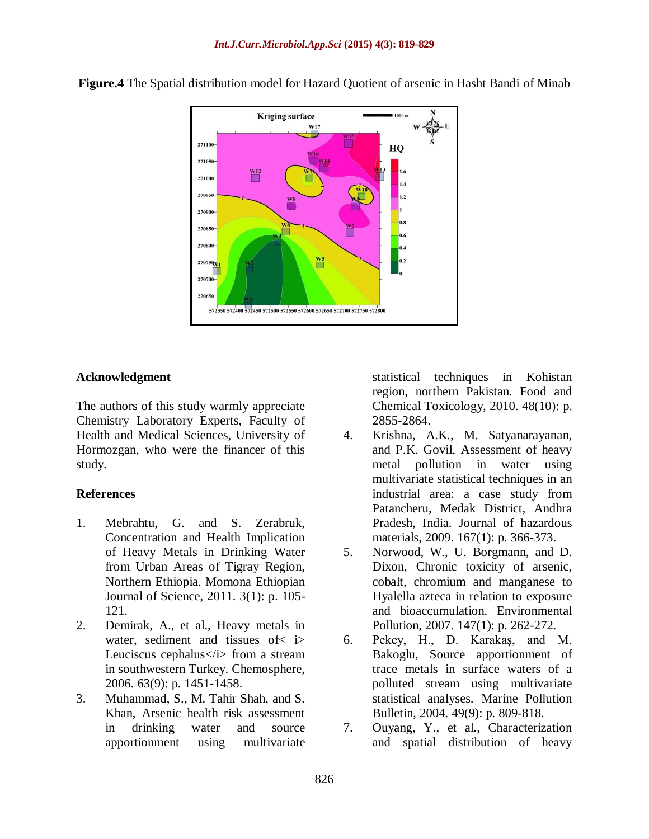

**Figure.4** The Spatial distribution model for Hazard Quotient of arsenic in Hasht Bandi of Minab

### **Acknowledgment**

The authors of this study warmly appreciate Chemistry Laboratory Experts, Faculty of Health and Medical Sciences, University of Hormozgan, who were the financer of this study.

#### **References**

- 1. Mebrahtu, G. and S. Zerabruk, Concentration and Health Implication of Heavy Metals in Drinking Water from Urban Areas of Tigray Region, Northern Ethiopia. Momona Ethiopian Journal of Science, 2011. 3(1): p. 105- 121.
- 2. Demirak, A., et al., Heavy metals in water, sediment and tissues of< i> Leuciscus cephalus  $\langle i \rangle$  from a stream in southwestern Turkey. Chemosphere, 2006. 63(9): p. 1451-1458.
- 3. Muhammad, S., M. Tahir Shah, and S. Khan, Arsenic health risk assessment in drinking water and source apportionment using multivariate

statistical techniques in Kohistan region, northern Pakistan. Food and Chemical Toxicology, 2010. 48(10): p. 2855-2864.

- 4. Krishna, A.K., M. Satyanarayanan, and P.K. Govil, Assessment of heavy metal pollution in water using multivariate statistical techniques in an industrial area: a case study from Patancheru, Medak District, Andhra Pradesh, India. Journal of hazardous materials, 2009. 167(1): p. 366-373.
- 5. Norwood, W., U. Borgmann, and D. Dixon, Chronic toxicity of arsenic, cobalt, chromium and manganese to Hyalella azteca in relation to exposure and bioaccumulation. Environmental Pollution, 2007. 147(1): p. 262-272.
- 6. Pekey, H., D. Karakaş, and M. Bakoglu, Source apportionment of trace metals in surface waters of a polluted stream using multivariate statistical analyses. Marine Pollution Bulletin, 2004. 49(9): p. 809-818.
- 7. Ouyang, Y., et al., Characterization and spatial distribution of heavy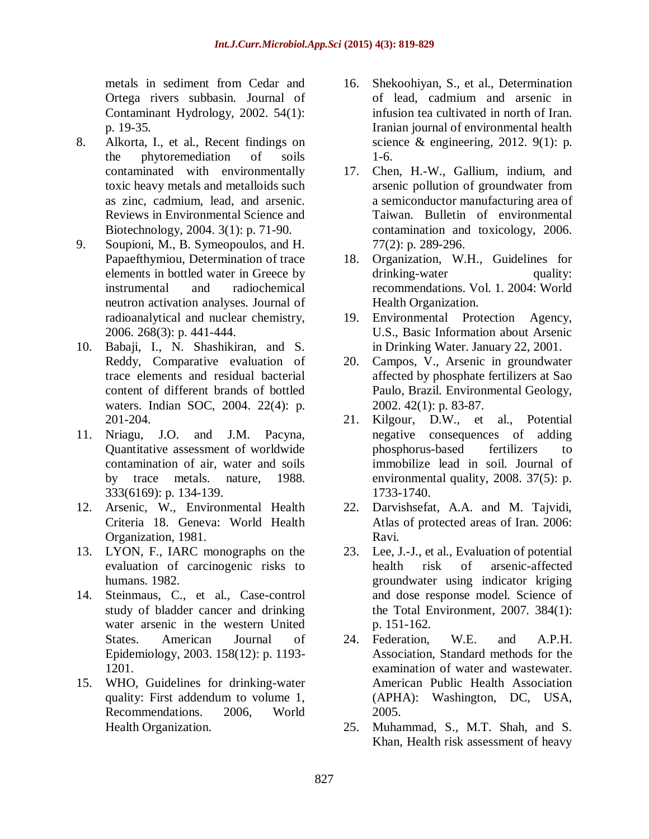metals in sediment from Cedar and Ortega rivers subbasin. Journal of Contaminant Hydrology, 2002. 54(1): p. 19-35.

- 8. Alkorta, I., et al., Recent findings on the phytoremediation of soils contaminated with environmentally toxic heavy metals and metalloids such as zinc, cadmium, lead, and arsenic. Reviews in Environmental Science and Biotechnology, 2004. 3(1): p. 71-90.
- 9. Soupioni, M., B. Symeopoulos, and H. Papaefthymiou, Determination of trace elements in bottled water in Greece by instrumental and radiochemical neutron activation analyses. Journal of radioanalytical and nuclear chemistry, 2006. 268(3): p. 441-444.
- 10. Babaji, I., N. Shashikiran, and S. Reddy, Comparative evaluation of trace elements and residual bacterial content of different brands of bottled waters. Indian SOC, 2004. 22(4): p. 201-204.
- 11. Nriagu, J.O. and J.M. Pacyna, Quantitative assessment of worldwide contamination of air, water and soils by trace metals. nature, 1988. 333(6169): p. 134-139.
- 12. Arsenic, W., Environmental Health Criteria 18. Geneva: World Health Organization, 1981.
- 13. LYON, F., IARC monographs on the evaluation of carcinogenic risks to humans. 1982.
- 14. Steinmaus, C., et al., Case-control study of bladder cancer and drinking water arsenic in the western United States. American Journal of Epidemiology, 2003. 158(12): p. 1193- 1201.
- 15. WHO, Guidelines for drinking-water quality: First addendum to volume 1, Recommendations. 2006, World Health Organization.
- 16. Shekoohiyan, S., et al., Determination of lead, cadmium and arsenic in infusion tea cultivated in north of Iran. Iranian journal of environmental health science & engineering, 2012. 9(1): p. 1-6.
- 17. Chen, H.-W., Gallium, indium, and arsenic pollution of groundwater from a semiconductor manufacturing area of Taiwan. Bulletin of environmental contamination and toxicology, 2006. 77(2): p. 289-296.
- 18. Organization, W.H., Guidelines for drinking-water quality: recommendations. Vol. 1. 2004: World Health Organization.
- 19. Environmental Protection Agency, U.S., Basic Information about Arsenic in Drinking Water. January 22, 2001.
- 20. Campos, V., Arsenic in groundwater affected by phosphate fertilizers at Sao Paulo, Brazil. Environmental Geology, 2002. 42(1): p. 83-87.
- 21. Kilgour, D.W., et al., Potential negative consequences of adding phosphorus-based fertilizers to immobilize lead in soil. Journal of environmental quality, 2008. 37(5): p. 1733-1740.
- 22. Darvishsefat, A.A. and M. Tajvidi, Atlas of protected areas of Iran. 2006: Ravi.
- 23. Lee, J.-J., et al., Evaluation of potential health risk of arsenic-affected groundwater using indicator kriging and dose response model. Science of the Total Environment, 2007. 384(1): p. 151-162.
- 24. Federation, W.E. and A.P.H. Association, Standard methods for the examination of water and wastewater. American Public Health Association (APHA): Washington, DC, USA, 2005.
- 25. Muhammad, S., M.T. Shah, and S. Khan, Health risk assessment of heavy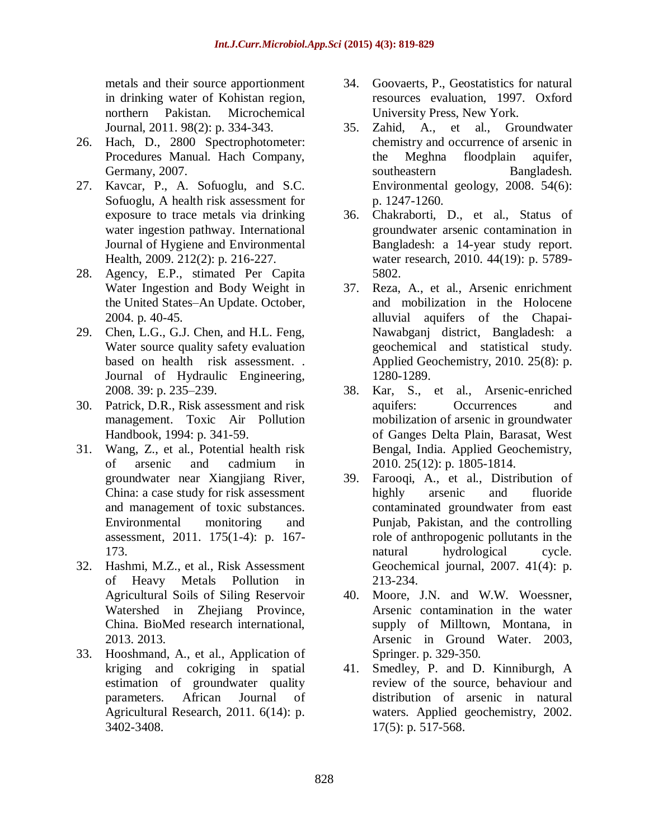metals and their source apportionment in drinking water of Kohistan region, northern Pakistan. Microchemical Journal, 2011. 98(2): p. 334-343.

- 26. Hach, D., 2800 Spectrophotometer: Procedures Manual. Hach Company, Germany, 2007.
- 27. Kavcar, P., A. Sofuoglu, and S.C. Sofuoglu, A health risk assessment for exposure to trace metals via drinking water ingestion pathway. International Journal of Hygiene and Environmental Health, 2009. 212(2): p. 216-227.
- 28. Agency, E.P., stimated Per Capita Water Ingestion and Body Weight in the United States–An Update. October, 2004. p. 40-45.
- 29. Chen, L.G., G.J. Chen, and H.L. Feng, Water source quality safety evaluation based on health risk assessment. . Journal of Hydraulic Engineering, 2008. 39: p. 235–239.
- 30. Patrick, D.R., Risk assessment and risk management. Toxic Air Pollution Handbook, 1994: p. 341-59.
- 31. Wang, Z., et al., Potential health risk of arsenic and cadmium in groundwater near Xiangjiang River, China: a case study for risk assessment and management of toxic substances. Environmental monitoring and assessment, 2011. 175(1-4): p. 167- 173.
- 32. Hashmi, M.Z., et al., Risk Assessment of Heavy Metals Pollution in Agricultural Soils of Siling Reservoir Watershed in Zhejiang Province, China. BioMed research international, 2013. 2013.
- 33. Hooshmand, A., et al., Application of kriging and cokriging in spatial estimation of groundwater quality parameters. African Journal of Agricultural Research, 2011. 6(14): p. 3402-3408.
- 34. Goovaerts, P., Geostatistics for natural resources evaluation, 1997. Oxford University Press, New York.
- 35. Zahid, A., et al., Groundwater chemistry and occurrence of arsenic in the Meghna floodplain aquifer, southeastern Bangladesh. Environmental geology, 2008. 54(6): p. 1247-1260.
- 36. Chakraborti, D., et al., Status of groundwater arsenic contamination in Bangladesh: a 14-year study report. water research, 2010. 44(19): p. 5789- 5802.
- 37. Reza, A., et al., Arsenic enrichment and mobilization in the Holocene alluvial aquifers of the Chapai-Nawabganj district, Bangladesh: a geochemical and statistical study. Applied Geochemistry, 2010. 25(8): p. 1280-1289.
- 38. Kar, S., et al., Arsenic-enriched aquifers: Occurrences and mobilization of arsenic in groundwater of Ganges Delta Plain, Barasat, West Bengal, India. Applied Geochemistry, 2010. 25(12): p. 1805-1814.
- 39. Farooqi, A., et al., Distribution of highly arsenic and fluoride contaminated groundwater from east Punjab, Pakistan, and the controlling role of anthropogenic pollutants in the natural hydrological cycle. Geochemical journal, 2007. 41(4): p. 213-234.
- 40. Moore, J.N. and W.W. Woessner, Arsenic contamination in the water supply of Milltown, Montana, in Arsenic in Ground Water. 2003, Springer. p. 329-350.
- 41. Smedley, P. and D. Kinniburgh, A review of the source, behaviour and distribution of arsenic in natural waters. Applied geochemistry, 2002. 17(5): p. 517-568.